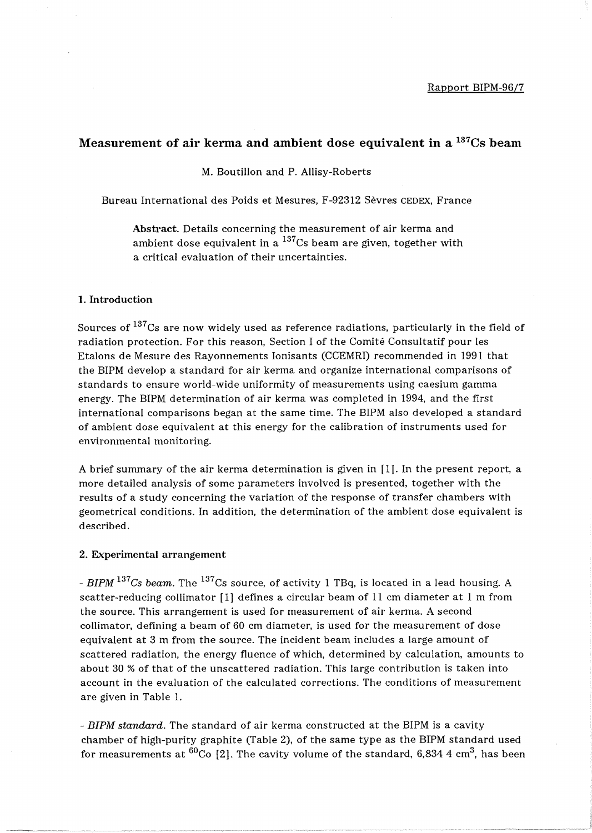# **Measurement of air kerma and ambient dose equivalent in a** 137CS **beam**

M. BoutiIlon and P. Allisy-Roberts

Bureau International des Poids et Mesures, F-92312 Sevres CEDEX, France

Abstract. Details concerning the measurement of air kerma and ambient dose equivalent in a  $137$ Cs beam are given, together with a critical evaluation of their uncertainties.

## 1. Introduction

Sources of  $137$ Cs are now widely used as reference radiations, particularly in the field of radiation protection. For this reason, Section I of the Comite Consultatif pour les Etalons de Mesure des Rayonnements Ionisants (CCEMRI) recommended in 1991 that the BIPM develop a standard for air kerma and organize international comparisons of standards to ensure world-wide uniformity of measurements using caesium gamma energy. The BIPM determination of air kerma was completed in 1994, and the first international comparisons began at the same time. The BIPM also developed a standard of ambient dose equivalent at this energy for the calibration of instruments used for environmental monitoring.

A brief summary of the air kerma determination is given in [1]. In the present report, a more detailed analysis of some parameters involved is presented, together with the results of a study concerning the variation of the response of transfer chambers with geometrical conditions. In addition, the determination of the ambient dose equivalent is described.

## 2. Experimental arrangement

*- BIPM* 137 *Cs beam.* The 137 Cs source, of activity 1 TBq, is located in a lead housing. A scatter-reducing collimator [1] defines a circular beam of 11 cm diameter at 1 m from the source. This arrangement is used for measurement of air kerma. A second collimator, defining a beam of 60 cm diameter, is used for the measurement of dose equivalent at 3 m from the source. The incident beam includes a large amount of scattered radiation, the energy fluence of which, determined by calculation, amounts to about 30 % of that of the unscattered radiation. This large contribution is taken into account in the evaluation of the calculated corrections. The conditions of measurement are given in Table 1.

*- BIPM standard.* The standard of air kerma constructed at the BIPM is a cavity chamber of high-purity graphite (fable 2), of the same type as the BIPM standard used for measurements at  $^{60}$ Co [2]. The cavity volume of the standard, 6,834 4 cm<sup>3</sup>, has been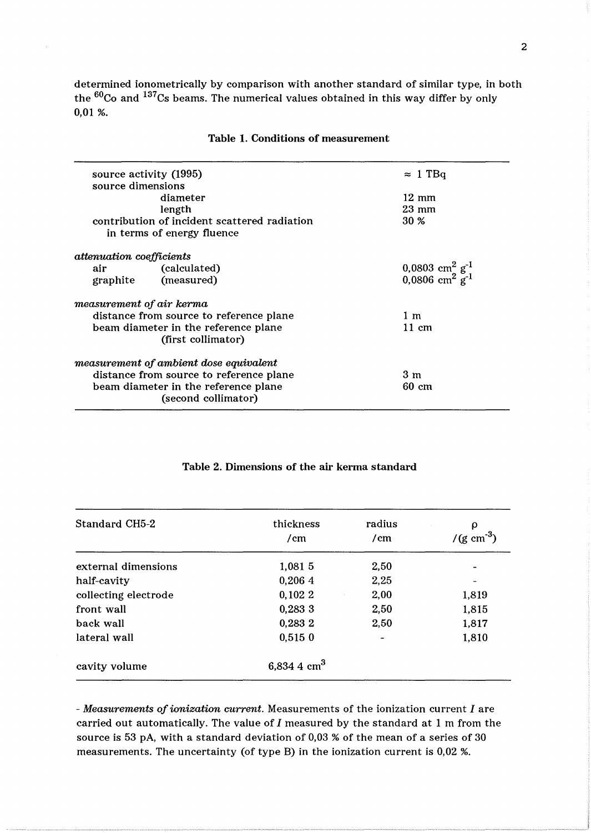determined ionometrically by comparison with another standard of similar type, in both the <sup>60</sup>Co and <sup>137</sup>Cs beams. The numerical values obtained in this way differ by only 0,01 %.

|                                      | source activity (1995)                       | $\approx$ 1 TBq                                                    |
|--------------------------------------|----------------------------------------------|--------------------------------------------------------------------|
| source dimensions                    |                                              |                                                                    |
|                                      | diameter                                     | $12 \text{ mm}$                                                    |
|                                      | length                                       | $23 \text{ mm}$                                                    |
|                                      | contribution of incident scattered radiation | <b>30 %</b>                                                        |
|                                      | in terms of energy fluence                   |                                                                    |
| <i>attenuation coefficients</i>      |                                              |                                                                    |
| air                                  | (calculated)                                 |                                                                    |
| graphite                             | (measured)                                   | 0,0803 cm <sup>2</sup> $g^{-1}$<br>0,0806 cm <sup>2</sup> $g^{-1}$ |
| measurement of air kerma             |                                              |                                                                    |
|                                      | distance from source to reference plane      | 1 m                                                                |
| beam diameter in the reference plane |                                              | $11 \text{ cm}$                                                    |
|                                      | (first collimator)                           |                                                                    |
|                                      | measurement of ambient dose equivalent       |                                                                    |
|                                      | distance from source to reference plane      | 3m                                                                 |
|                                      | beam diameter in the reference plane         | $60 \text{ cm}$                                                    |
|                                      | (second collimator)                          |                                                                    |
|                                      |                                              |                                                                    |

## Table 1. Conditions of measurement

| Table 2. Dimensions of the air kerma standard |  |
|-----------------------------------------------|--|
|-----------------------------------------------|--|

| Standard CH5-2       | thickness<br>/cm | radius<br>/cm | ρ<br>$/(g cm^{-3})$      |
|----------------------|------------------|---------------|--------------------------|
| external dimensions  | 1,081 5          | 2,50          | $\overline{\phantom{a}}$ |
| half-cavity          | 0,2064           | 2,25          |                          |
| collecting electrode | 0,1022           | 2,00          | 1,819                    |
| front wall           | 0,2833           | 2,50          | 1,815                    |
| back wall            | 0,283 2          | 2,50          | 1,817                    |
| lateral wall         | 0,5150           |               | 1,810                    |
| cavity volume        | 6,834 4 $cm3$    |               |                          |

*- Measurements of ionization current.* Measurements of the ionization current *I* are carried out automatically. The value of  $I$  measured by the standard at  $1$  m from the source is 53 pA, with a standard deviation of 0,03 % of the mean of a series of 30 measurements. The uncertainty (of type B) in the ionization current is 0,02 %.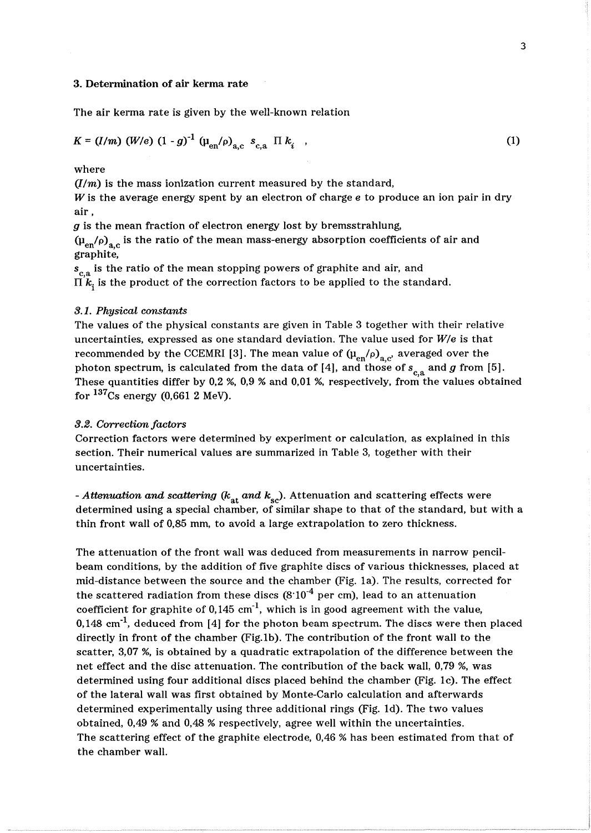#### 3. Determination of air kerma rate

The air kerma rate is given by the well-known relation

$$
K = (I/m) (W/e) (1 - g)^{-1} (\mu_{en}/\rho)_{ac} s_{ca} \Pi k_i , \qquad (1)
$$

## where

 $(I/m)$  is the mass ionization current measured by the standard,

W is the average energy spent by an electron of charge  $e$  to produce an ion pair in dry air,

g is the mean fraction of electron energy lost by bremsstrahlung,

 $\left(\mu_{\text{en}}/\rho\right)_{\text{a,c}}$  is the ratio of the mean mass-energy absorption coefficients of air and graphite,

 $s_{\rm c,a}$  is the ratio of the mean stopping powers of graphite and air, and  $\Pi[k]$  is the product of the correction factors to be applied to the standard.

## *3.1. Physical constants*

The values of the physical constants are given in Table 3 together with their relative uncertainties, expressed as one standard deviation. The value used for *W/e* is that recommended by the CCEMRI [3]. The mean value of  $(\mu_{en}/\rho)_{a,c'}$  averaged over the photon spectrum, is calculated from the data of [4], and those of  $s_{c,a}$  and *g* from [5]. These quantities differ by 0,2 %, 0,9 % and 0,01 %, respectively, from the values obtained for  $137$ Cs energy (0,661 2 MeV).

#### *3.2. Correction factors*

Correction factors were determined by experiment or calculation, as explained in this section. Their numerical values are summarized in Table 3, together with their uncertainties.

*- Attenuation and scattering (k<sub>at</sub> and k<sub>sc</sub>).* Attenuation and scattering effects were determined using a special chamber, of similar shape to that of the standard, but with a thin front wall of 0,85 mm, to avoid a large extrapolation to zero thickness.

The attenuation of the front wall was deduced from measurements in narrow pencilbeam conditions, by the addition of five graphite discs of various thicknesses, placed at mid-distance between the source and the chamber (Fig. la). The results, corrected for the scattered radiation from these discs  $(8.10^{-4}$  per cm), lead to an attenuation coefficient for graphite of  $0.145$  cm<sup>-1</sup>, which is in good agreement with the value,  $0,148$  cm<sup>-1</sup>, deduced from [4] for the photon beam spectrum. The discs were then placed directly in front of the chamber (Fig.1b). The contribution of the front wall to the scatter, 3,07 %, is obtained by a quadratic extrapolation of the difference between the net effect and the disc attenuation. The contribution of the back wall, 0,79 %, was determined using four additional discs placed behind the chamber (Fig. 1c). The effect of the lateral wall was first obtained by Monte-Carlo calculation and afterwards determined experimentally using three additional rings (Fig. Id). The two values obtained, 0,49 % and 0,48 % respectively, agree well within the uncertainties. The scattering effect of the graphite electrode, 0,46 % has been estimated from that of the chamber wall.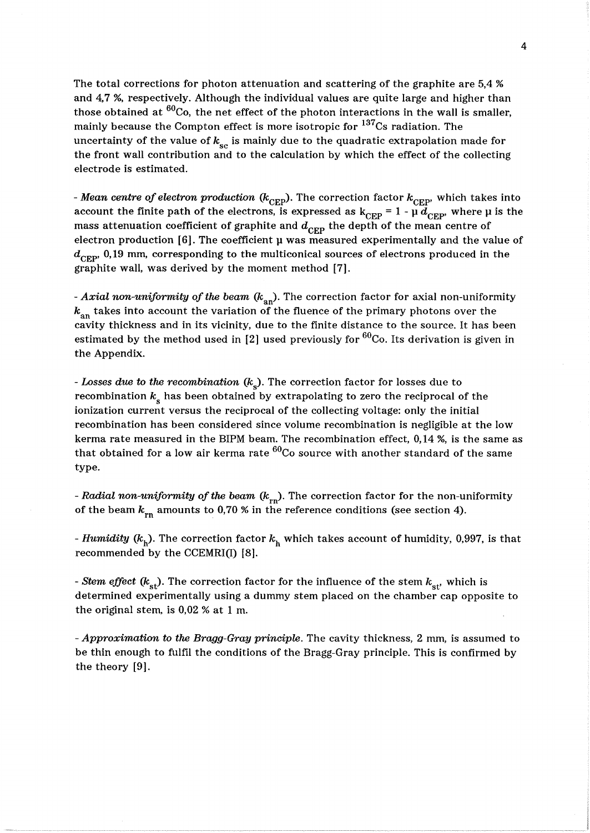The total corrections for photon attenuation and scattering of the graphite are 5,4 % and 4,7 %, respectively. Although the individual values are quite large and higher than those obtained at  ${}^{60}$ Co, the net effect of the photon interactions in the wall is smaller, mainly because the Compton effect is more isotropic for  $137$ Cs radiation. The uncertainty of the value of  $k_{\rm sc}$  is mainly due to the quadratic extrapolation made for the front wall contribution and to the calculation by which the effect of the collecting electrode is estimated.

*- Mean centre of electron production (k<sub>CEP</sub>).* The correction factor  $k_{\text{CEP}}$ , which takes into account the finite path of the electrons, is expressed as  $k_{CEP} = 1 - \mu \overline{d}_{CEP}$ , where  $\mu$  is the mass attenuation coefficient of graphite and  $d_{\text{CFP}}$  the depth of the mean centre of electron production  $[6]$ . The coefficient  $\mu$  was measured experimentally and the value of  $d_{\text{CFD}}$  0,19 mm, corresponding to the multiconical sources of electrons produced in the graphite wall, was derived by the moment method [7].

- *Axial non-uniformity of the beam*  $(k_{an})$ . The correction factor for axial non-uniformity  $k_{\text{an}}$  takes into account the variation of the fluence of the primary photons over the cavity thickness and in its vicinity, due to the finite distance to the source. It has been estimated by the method used in [2] used previously for  ${}^{60}$ Co. Its derivation is given in the Appendix.

*- Losses due to the recombination (k<sub>s</sub>).* The correction factor for losses due to recombination  $k_{s}$  has been obtained by extrapolating to zero the reciprocal of the ionization current versus the reciprocal of the collecting voltage: only the initial recombination has been considered since volume recombination is negligible at the low kerma rate measured in the BIPM beam. The recombination effect, 0,14 %, is the same as that obtained for a low air kerma rate  ${}^{60}$ Co source with another standard of the same type.

- *Radial non-uniformity of the beam* ( $k_{rn}$ ). The correction factor for the non-uniformity of the beam  $k_{rn}$  amounts to 0,70 % in the reference conditions (see section 4).

*- Humidity* ( $k_h$ ). The correction factor  $k_h$  which takes account of humidity, 0,997, is that recommended by the CCEMRI(I) [8].

*- Stem effect*  $(k_{st})$ . The correction factor for the influence of the stem  $k_{st}$ , which is determined experimentally using a dummy stem placed on the chamber cap opposite to the original stem, is 0,02 % at 1 m.

*- Approximation to the Bragg-Gray principle.* The cavity thickness, 2 mm, is assumed to be thin enough to fulfil the conditions of the Bragg-Gray principle. This is confirmed by the theory [9].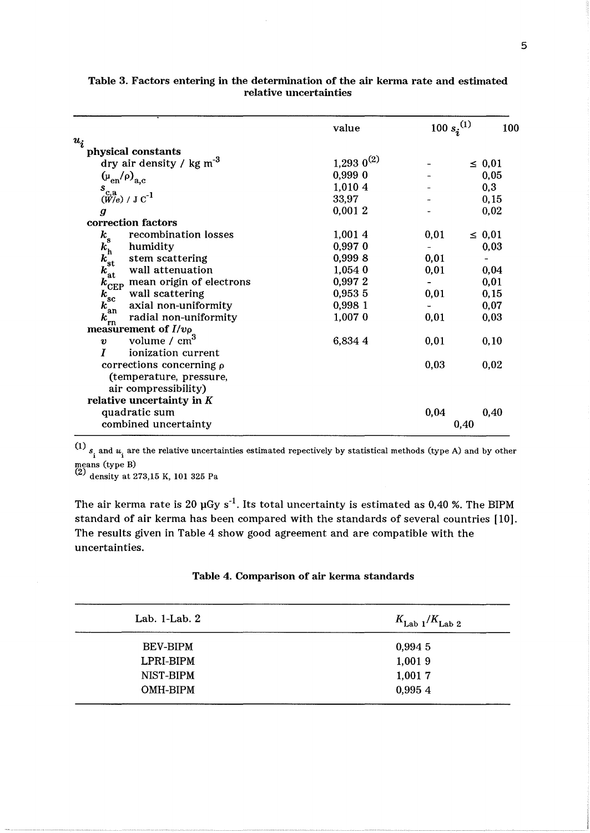|                                                   | value                    | 100 $s_i^{(1)}$ | 100         |
|---------------------------------------------------|--------------------------|-----------------|-------------|
| $u_i$                                             |                          |                 |             |
| physical constants                                |                          |                 |             |
| dry air density / $kg m-3$                        | $1,293$ 0 <sup>(2)</sup> |                 | $\leq 0.01$ |
| $(\mu_{en}/\rho)_{a.c}$                           | 0,9990                   |                 | 0,05        |
| $S_{C,3}^{C,4}$ (W/e) / J C <sup>-1</sup>         | 1,010 4                  |                 | 0,3         |
|                                                   | 33,97                    |                 | 0,15        |
| $\boldsymbol{q}$                                  | 0,0012                   |                 | 0,02        |
| correction factors                                |                          |                 |             |
| recombination losses                              | 1,0014                   | 0,01            | $\leq 0.01$ |
| $\frac{k_{\rm s}}{k_{\rm h}^{\rm s}}$<br>humidity | 0,997 0                  |                 | 0,03        |
| stem scattering                                   | 0,9998                   | 0,01            |             |
| $k_{\rm st}^{\rm it}$<br>wall attenuation         | 1,054 0                  | 0,01            | 0,04        |
| $k_{\text{CEP}}$ mean origin of electrons         | 0,9972                   |                 | 0,01        |
| wall scattering<br>$k_{\rm sc}$                   | 0,953 5                  | 0,01            | 0, 15       |
| axial non-uniformity<br>$k_{an}$                  | 0,998 1                  |                 | 0,07        |
| radial non-uniformity<br>$k_{\text{rn}}$          | 1,007 0                  | 0,01            | 0,03        |
| measurement of $I/v\rho$                          |                          |                 |             |
| volume / $cm3$<br>$\boldsymbol{v}$                | 6,834 4                  | 0,01            | 0, 10       |
| T<br>ionization current                           |                          |                 |             |
| corrections concerning $\rho$                     |                          | 0,03            | 0,02        |
| (temperature, pressure,                           |                          |                 |             |
| air compressibility)                              |                          |                 |             |
| relative uncertainty in $K$                       |                          |                 |             |
| quadratic sum                                     |                          | 0,04            | 0,40        |
| combined uncertainty                              |                          |                 | 0.40        |
|                                                   |                          |                 |             |

## Table 3. Factors entering **in** the determination of the air kerma rate and estimated relative uncertainties

 $\binom{11}{12}$   $s_i$  and  $u_i$  are the relative uncertainties estimated repectively by statistical methods (type A) and by other means (type B)

<sup>(2)</sup> density at 273,15 K, 101 325 Pa

The air kerma rate is 20  $\mu$ Gy s<sup>-1</sup>. Its total uncertainty is estimated as 0,40 %. The BIPM standard of air kerma has been compared with the standards of several countries [10]. The results given in Table 4 show good agreement and are compatible with the uncertainties.

|  | Table 4. Comparison of air kerma standards |  |  |  |
|--|--------------------------------------------|--|--|--|
|--|--------------------------------------------|--|--|--|

| $K_{\text{Lab 1}}/K_{\text{Lab 2}}$ |
|-------------------------------------|
| 0,9945                              |
| 1,0019                              |
| 1,0017                              |
| 0,995 4                             |
|                                     |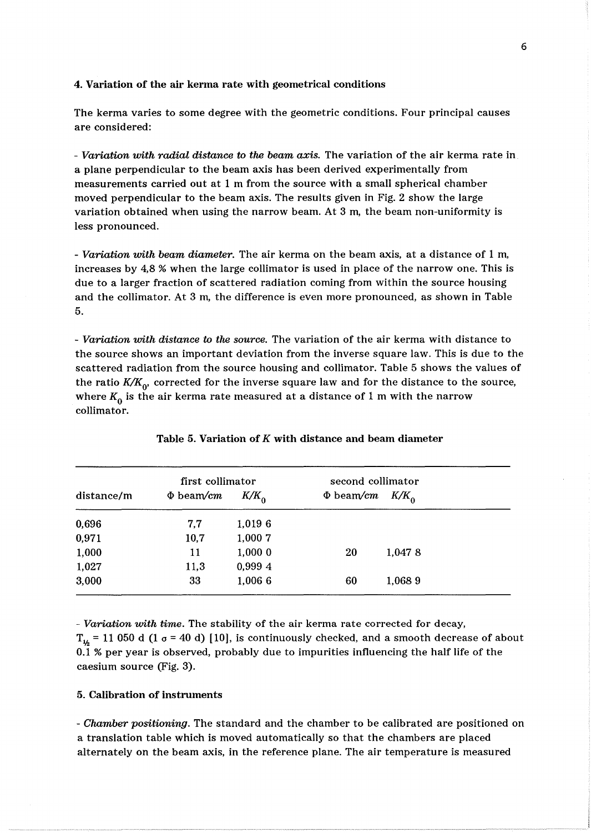#### 4. Variation of the air kerma rate with geometrical conditions

The kerma varies to some degree with the geometric conditions. Four principal causes are considered:

*- Variation with radial distance to the beam axis.* The variation of the air kerma rate in a plane perpendicular to the beam axis has been derived experimentally from measurements carried out at 1 m from the source with a small spherical chamber moved perpendicular to the beam axis. The results given in Fig. 2 show the large variation obtained when using the narrow beam. At 3 m, the beam non-uniformity is less pronounced.

*- Variation with beam diameter.* The air kerma on the beam axis, at a distance of 1 m, increases by 4,8 % when the large collimator is used in place of the narrow one. This is due to a larger fraction of scattered radiation coming from within the source housing and the collimator. At 3 m, the difference is even more pronounced, as shown in Table 5.

*- Variation with distance to the source.* The variation of the air kerma with distance to the source shows an important deviation from the inverse square law. This is due to the scattered radiation from the source housing and collimator. Table 5 shows the values of the ratio  $K/K_0$ , corrected for the inverse square law and for the distance to the source, where  $K_0$  is the air kerma rate measured at a distance of 1 m with the narrow collimator.

|            | first collimator |         | second collimator |         |  |
|------------|------------------|---------|-------------------|---------|--|
| distance/m | $\Phi$ beam/cm   | $K/K_0$ | $\Phi$ beam/cm    | $K/K_0$ |  |
| 0,696      | 7,7              | 1,0196  |                   |         |  |
| 0,971      | 10,7             | 1,000 7 |                   |         |  |
| 1,000      | 11               | 1,0000  | 20                | 1,0478  |  |
| 1,027      | 11,3             | 0,999 4 |                   |         |  |
| 3,000      | 33               | 1,006 6 | 60                | 1,0689  |  |

#### Table 5. Variation of K with distance and beam diameter

*- Variation with time.* The stability of the air kerma rate corrected for decay,  $T_{16}$  = 11 050 d (1  $\sigma$  = 40 d) [10], is continuously checked, and a smooth decrease of about 0.1 % per year is observed, probably due to impurities influencing the half life of the caesium source (Fig. 3).

## 5. Calibration of instruments

*- Chamber positioning.* The standard and the chamber to be calibrated are positioned on a translation table which is moved automatically so that the chambers are placed alternately on the beam axis, in the reference plane. The air temperature is measured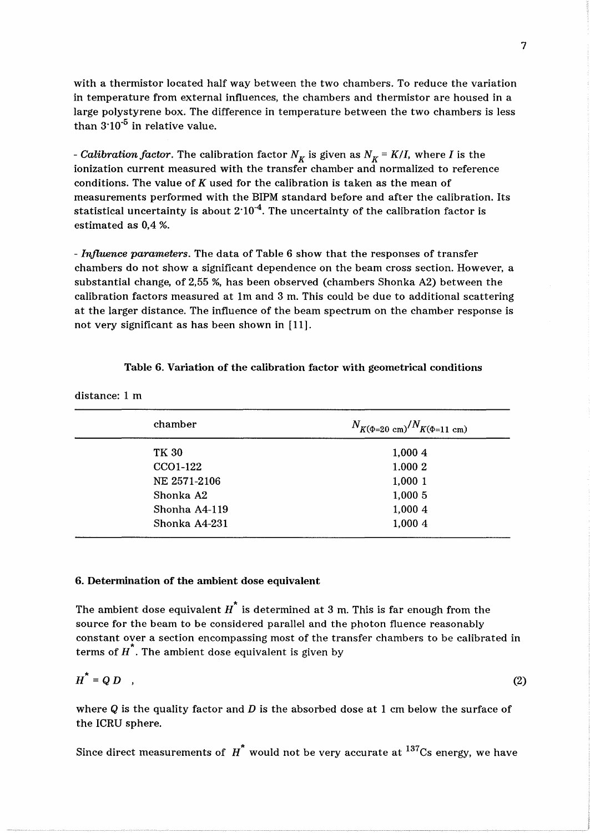with a thermistor located half way between the two chambers. To reduce the variation in temperature from external influences, the chambers and thermistor are housed in a large polystyrene box. The difference in temperature between the two chambers is less than  $3.10^{-5}$  in relative value.

- *Calibration factor*. The calibration factor  $N_K$  is given as  $N_K = K/I$ , where *I* is the ionization current measured with the transfer chamber and normalized to reference conditions. The value of K used for the calibration is taken as the mean of measurements performed with the BIPM standard before and after the calibration. Its statistical uncertainty is about  $2.10^{-4}$ . The uncertainty of the calibration factor is estimated as 0,4 %.

*- Influence parameters.* The data of Table 6 show that the responses of transfer chambers do not show a significant dependence on the beam cross section. However, a substantial change, of 2,55 %, has been observed (chambers Shonka A2) between the calibration factors measured at Im and 3 m. This could be due to additional scattering at the larger distance. The influence of the beam spectrum on the chamber response is not very significant as has been shown in [11].

## Table 6. Variation of the calibration factor with geometrical conditions

distance: 1 m

| chamber       | $N_{K(\Phi=20 \text{ cm})}/N_{K(\Phi=11 \text{ cm})}$ |  |  |
|---------------|-------------------------------------------------------|--|--|
| TK 30         | 1,0004                                                |  |  |
| CCO1-122      | 1.000 2                                               |  |  |
| NE 2571-2106  | 1,0001                                                |  |  |
| Shonka A2     | 1,000 5                                               |  |  |
| Shonha A4-119 | 1,000 4                                               |  |  |
| Shonka A4-231 | 1,0004                                                |  |  |

## 6. Determination of the ambient dose equivalent

The ambient dose equivalent  $\overline{H}^*$  is determined at 3 m. This is far enough from the source for the beam to be considered parallel and the photon fluence reasonably constant over a section encompassing most of the transfer chambers to be calibrated in terms of  $H^{\bullet}$ . The ambient dose equivalent is given by

$$
H^* = Q D \quad , \tag{2}
$$

where  $Q$  is the quality factor and  $D$  is the absorbed dose at 1 cm below the surface of the ICRU sphere.

Since direct measurements of  $H^*$  would not be very accurate at  $137Cs$  energy, we have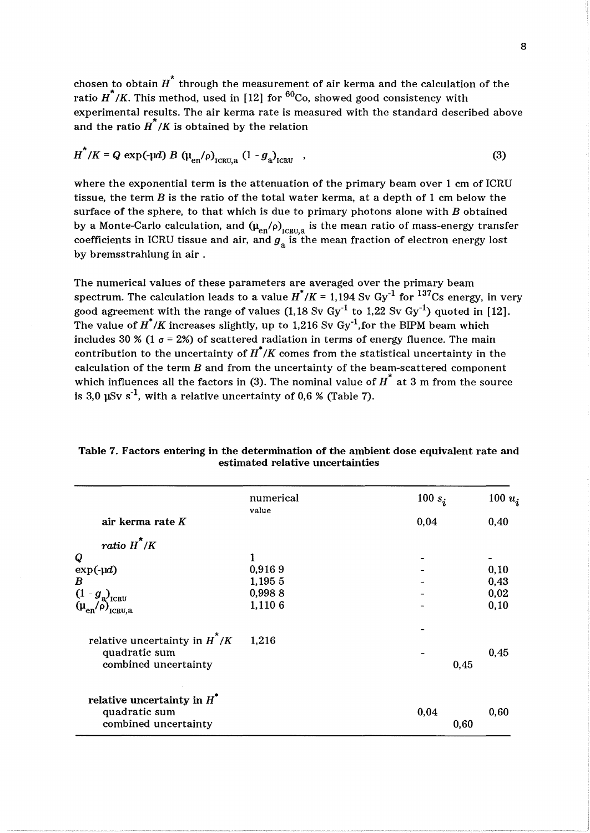chosen to obtain  $\overrightarrow{H}^*$  through the measurement of air kerma and the calculation of the ratio  $\overline{H}^*/K$ . This method, used in [12] for <sup>60</sup>Co, showed good consistency with experimental results. The air kerma rate is measured with the standard described above and the ratio  $\overline{H}^N/K$  is obtained by the relation

$$
H^{\uparrow}/K = Q \exp(-\mu d) B \left(\mu_{\text{en}}/\rho\right)_{\text{ICRU},a} \left(1 - g_a\right)_{\text{ICRU}} \tag{3}
$$

where the exponential term is the attenuation of the primary beam over 1 cm of ICRU tissue, the term *B* is the ratio of the total water kerma, at a depth of 1 cm below the surface of the sphere, to that which is due to primary photons alone with *B* obtained by a Monte-Carlo calculation, and  $(\mu_{en}/\rho)_{ICBULR}$  is the mean ratio of mass-energy transfer coefficients in ICRU tissue and air, and  $g_a$  is the mean fraction of electron energy lost by bremsstrahlung in air.

The numerical values of these parameters are averaged over the primary beam spectrum. The calculation leads to a value  $H^*/K = 1,194$  Sv Gy<sup>-1</sup> for <sup>137</sup>Cs energy, in very good agreement with the range of values (1,18 Sv  $\text{Gy}^{-1}$  to 1,22 Sv  $\text{Gy}^{-1}$ ) quoted in [12]. The value of  $H^*/K$  increases slightly, up to 1,216 Sv Gy<sup>-1</sup>, for the BIPM beam which includes 30 % (1  $\sigma$  = 2%) of scattered radiation in terms of energy fluence. The main contribution to the uncertainty of  $H^*/K$  comes from the statistical uncertainty in the calculation of the term *B* and from the uncertainty of the beam-scattered component which influences all the factors in (3). The nominal value of  $\overline{H}^*$  at 3 m from the source is 3,0  $\mu$ Sv s<sup>-1</sup>, with a relative uncertainty of 0,6 % (Table 7).

|                                                                | numerical | 100 $s_i$ | 100 $u_i$ |
|----------------------------------------------------------------|-----------|-----------|-----------|
| air kerma rate K                                               | value     | 0,04      | 0,40      |
| ratio $\overline{H}^*/\overline{K}$                            |           |           |           |
| $\boldsymbol{Q}$                                               | 1         |           |           |
| $exp(-\mu d)$                                                  | 0,9169    |           | 0, 10     |
| B                                                              | 1,195 5   |           | 0,43      |
|                                                                | 0,9988    |           | 0,02      |
| $(1 - g_a)_{\text{ICRU}}$<br>$(\mu_{en}/\rho)_{\text{ICRU},a}$ | 1,110 6   |           | 0,10      |
| relative uncertainty in $H^N/K$                                | 1,216     |           |           |
| quadratic sum                                                  |           |           | 0,45      |
| combined uncertainty                                           |           | 0,45      |           |
| relative uncertainty in $H^*$                                  |           |           |           |
| quadratic sum                                                  |           | 0,04      | 0,60      |
| combined uncertainty                                           |           | 0,60      |           |
|                                                                |           |           |           |

Table 7. Factors entering in the determination of the ambient dose equivalent rate and estimated relative uncertainties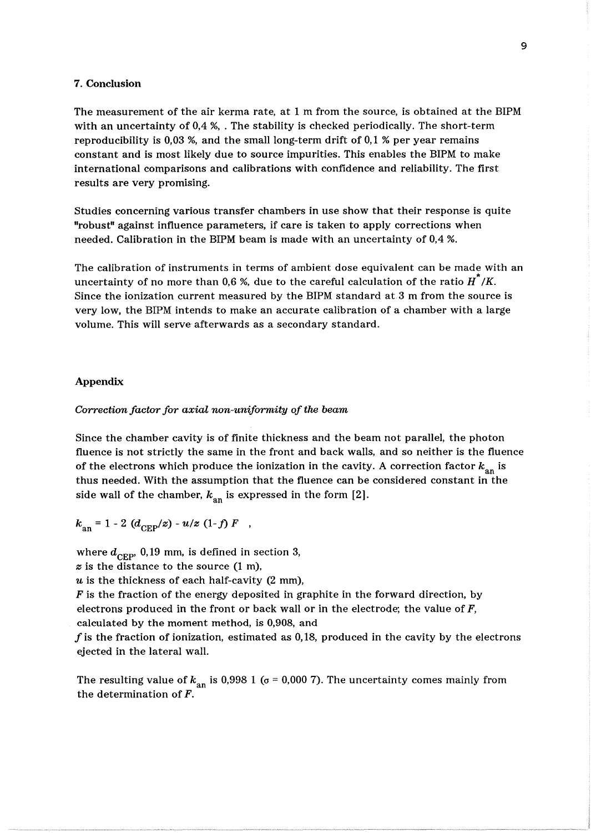#### 7. Conclusion

The measurement of the air kerma rate, at 1 m from the source, is obtained at the BIPM with an uncertainty of 0,4 %, . The stability is checked periodically. The short-term reproducibility is 0,03 %, and the small long-term drift of 0,1 % per year remains constant and is most likely due to source impurities. This enables the BIPM to make international comparisons and calibrations with confidence and reliability. The first results are very promising.

Studies concerning various transfer chambers in use show that their response is quite "robust" against influence parameters, if care is taken to apply corrections when needed. Calibration in the BIPM beam is made with an uncertainty of 0,4 %.

The calibration of instruments in terms of ambient dose equivalent can be made with an uncertainty of no more than 0,6 %, due to the careful calculation of the ratio  $H^2/K$ . Since the ionization current measured by the BIPM standard at 3 m from the source is very low, the BIPM intends to make an accurate calibration of a chamber with a large volume. This will serve afterwards as a secondary standard.

## Appendix

#### *Correction factor for axial non-uniformity of the beam*

Since the chamber cavity is of finite thickness and the beam not parallel, the photon fluence is not strictly the same in the front and back walls, and so neither is the fluence of the electrons which produce the ionization in the cavity. A correction factor  $k_{an}$  is thus needed. With the assumption that the fluence can be considered constant in the side wall of the chamber,  $k_{an}$  is expressed in the form  $[2]$ .

$$
k_{\rm an} = 1 - 2 \, (d_{\rm CEP}/z) - u/z \, (1-f) \, F \quad ,
$$

where  $d_{\text{CEP}}$ , 0,19 mm, is defined in section 3,

*z* is the distance to the source (1 m),

*u* is the thickness of each half-cavity (2 mm),

*F* is the fraction of the energy deposited in graphite in the forward direction, by electrons produced in the front or back wall or in the electrode; the value of  $F$ , calculated by the moment method, is 0,908, and

f is the fraction of ionization, estimated as 0,18, produced in the cavity by the electrons ejected in the lateral wall.

The resulting value of  $k_{\text{an}}$  is 0,998 1 ( $\sigma$  = 0,000 7). The uncertainty comes mainly from the determination of F.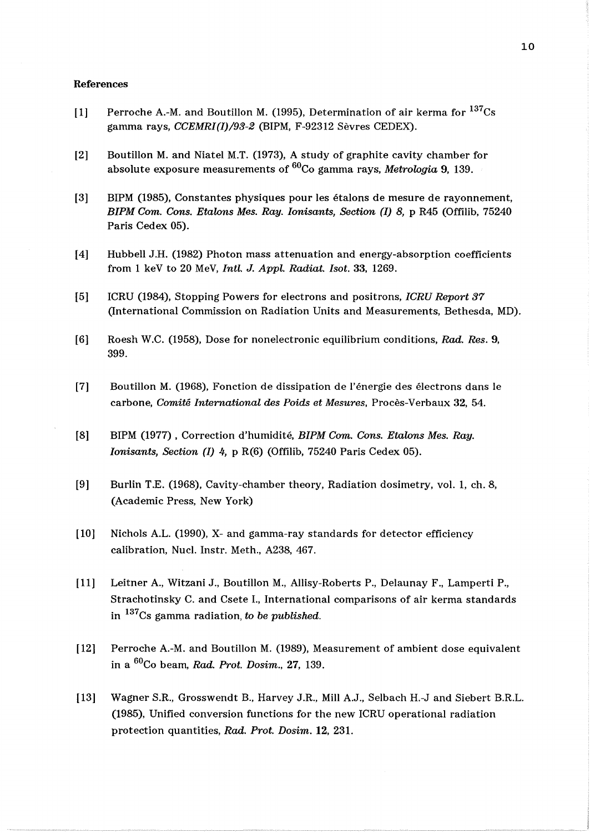#### References

- [1] Perroche A.-M. and Boutillon M. (1995), Determination of air kerma for  $137Cs$ gamma rays, *CCEMRI(I)/93-2* (BIPM, F-92312 Sevres CEDEX).
- [2] Boutillon M. and Niatel M.T. (1973), A study of graphite cavity chamber for absolute exposure measurements of <sup>60</sup>Co gamma rays, *Metrologia* 9, 139.
- [3] BIPM (1985), Constantes physiques pour les etalons de mesure de rayonnement, *BIPM Com. Cons. Etalons Mes. Ray. Ionisants, Section (I) 8, p R45 (Offilib, 75240)* Paris Cedex 05).
- [4] Hubbell J.H. (1982) Photon mass attenuation and energy-absorption coefficients from 1 keY to 20 MeV, *Intl.* J. *Appl. Radiat. Isot.* 33, 1269.
- [5] ICRU (1984), Stopping Powers for electrons and positrons, *ICRU Report 37*  (International Commission on Radiation Units and Measurements, Bethesda, MD).
- [6] Roesh W.C. (1958), Dose for nonelectronic equilibrium conditions, *Rad. Res. 9,*  399.
- [7] Boutillon M. (1968), Fonction de dissipation de l'energie des electrons dans le carbone, *Comite International des Poids et Mesures,* Proces-Verbaux 32, 54.
- [8] BIPM (1977), Correction d'humidité, *BIPM Com. Cons. Etalons Mes. Ray. Ionisants, Section (I)* 4, p R(6) (Offilib, 75240 Paris Cedex 05).
- [9] Burlin T.E. (1968), Cavity-chamber theory, Radiation dosimetry, vol. 1, ch. 8, (Academic Press, New York)
- [10] Nichols A.L. (1990), X- and gamma-ray standards for detector efficiency calibration, Nucl. Instr. Meth., A238, 467.
- [11] Leitner A., Witzani J., Boutillon M., Allisy-Roberts P., Delaunay F., Lamperti P., Strachotinsky C. and Csete I., International comparisons of air kerma standards in 137Cs gamma radiation, *to be published.*
- [12] Perroche A.-M. and Boutillon M. (1989), Measurement of ambient dose equivalent in a 60Co beam, *Rad. Prot. Dosim.,* 27, 139.
- [13] Wagner S.R., Grosswendt B., Harvey J.R., Mill A.J., Selbach H.-J and Siebert B.R.L. (1985), Unified conversion functions for the new ICRU operational radiation protection quantities, *Rad. Prot. Dosim.* 12, 231.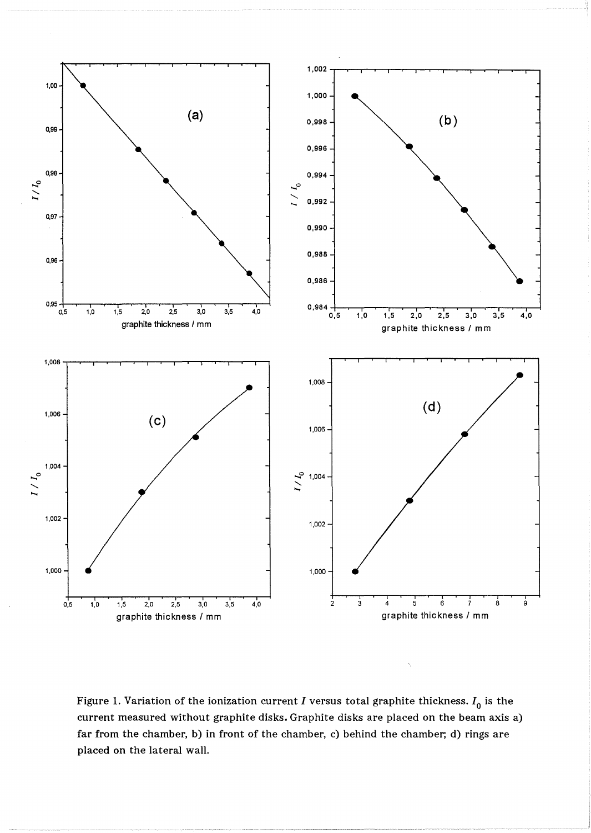

Figure 1. Variation of the ionization current *I* versus total graphite thickness.  $I_0$  is the current measured without graphite disks. Graphite disks are placed on the beam axis a) far from the chamber, b) in front of the chamber, c) behind the chamber; d) rings are placed on the lateral wall.